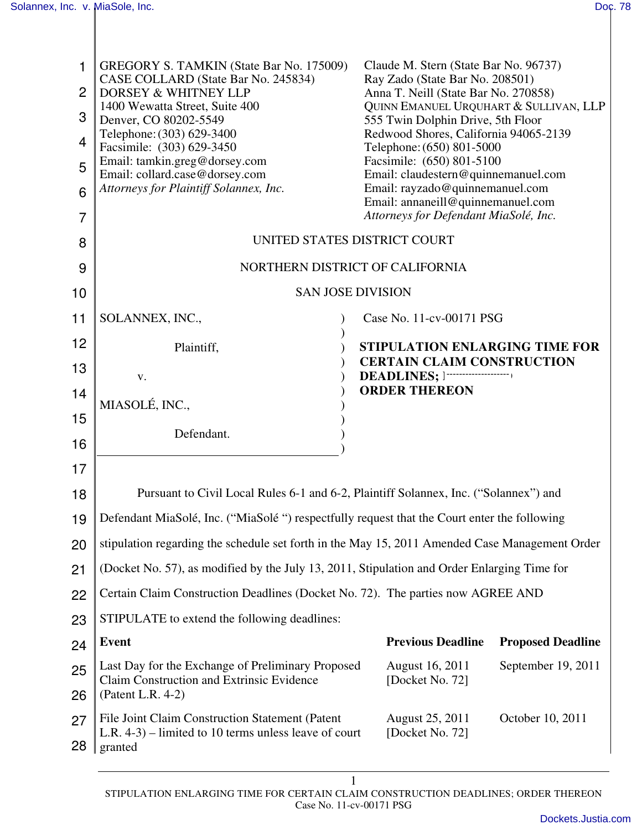| 1<br>$\overline{2}$<br>3<br>$\overline{4}$<br>5<br>6<br>7 | <b>GREGORY S. TAMKIN (State Bar No. 175009)</b><br>CASE COLLARD (State Bar No. 245834)<br>DORSEY & WHITNEY LLP<br>1400 Wewatta Street, Suite 400<br>Denver, CO 80202-5549<br>Telephone: (303) 629-3400<br>Facsimile: (303) 629-3450<br>Email: tamkin.greg@dorsey.com<br>Email: collard.case@dorsey.com<br>Attorneys for Plaintiff Solannex, Inc. | Claude M. Stern (State Bar No. 96737)<br>Ray Zado (State Bar No. 208501)<br>Anna T. Neill (State Bar No. 270858)<br>QUINN EMANUEL URQUHART & SULLIVAN, LLP<br>555 Twin Dolphin Drive, 5th Floor<br>Redwood Shores, California 94065-2139<br>Telephone: (650) 801-5000<br>Facsimile: (650) 801-5100<br>Email: claudestern@quinnemanuel.com<br>Email: rayzado@quinnemanuel.com<br>Email: annaneill@quinnemanuel.com<br>Attorneys for Defendant MiaSolé, Inc. |  |  |  |
|-----------------------------------------------------------|--------------------------------------------------------------------------------------------------------------------------------------------------------------------------------------------------------------------------------------------------------------------------------------------------------------------------------------------------|------------------------------------------------------------------------------------------------------------------------------------------------------------------------------------------------------------------------------------------------------------------------------------------------------------------------------------------------------------------------------------------------------------------------------------------------------------|--|--|--|
| 8                                                         | UNITED STATES DISTRICT COURT                                                                                                                                                                                                                                                                                                                     |                                                                                                                                                                                                                                                                                                                                                                                                                                                            |  |  |  |
| 9                                                         | NORTHERN DISTRICT OF CALIFORNIA<br><b>SAN JOSE DIVISION</b>                                                                                                                                                                                                                                                                                      |                                                                                                                                                                                                                                                                                                                                                                                                                                                            |  |  |  |
| 10<br>11                                                  | SOLANNEX, INC.,                                                                                                                                                                                                                                                                                                                                  | Case No. 11-cv-00171 PSG                                                                                                                                                                                                                                                                                                                                                                                                                                   |  |  |  |
| 12                                                        |                                                                                                                                                                                                                                                                                                                                                  |                                                                                                                                                                                                                                                                                                                                                                                                                                                            |  |  |  |
| 13                                                        | Plaintiff,                                                                                                                                                                                                                                                                                                                                       | <b>STIPULATION ENLARGING TIME FOR</b><br><b>CERTAIN CLAIM CONSTRUCTION</b>                                                                                                                                                                                                                                                                                                                                                                                 |  |  |  |
| 14                                                        | V.                                                                                                                                                                                                                                                                                                                                               | <b>DEADLINES;</b> $]\cdots$<br><b>ORDER THEREON</b>                                                                                                                                                                                                                                                                                                                                                                                                        |  |  |  |
| 15                                                        | MIASOLÉ, INC.,                                                                                                                                                                                                                                                                                                                                   |                                                                                                                                                                                                                                                                                                                                                                                                                                                            |  |  |  |
| 16                                                        | Defendant.                                                                                                                                                                                                                                                                                                                                       |                                                                                                                                                                                                                                                                                                                                                                                                                                                            |  |  |  |
| 17                                                        |                                                                                                                                                                                                                                                                                                                                                  |                                                                                                                                                                                                                                                                                                                                                                                                                                                            |  |  |  |
| 18                                                        | Pursuant to Civil Local Rules 6-1 and 6-2, Plaintiff Solannex, Inc. ("Solannex") and                                                                                                                                                                                                                                                             |                                                                                                                                                                                                                                                                                                                                                                                                                                                            |  |  |  |
| 19                                                        | Defendant MiaSolé, Inc. ("MiaSolé ") respectfully request that the Court enter the following                                                                                                                                                                                                                                                     |                                                                                                                                                                                                                                                                                                                                                                                                                                                            |  |  |  |
| 20                                                        | stipulation regarding the schedule set forth in the May 15, 2011 Amended Case Management Order                                                                                                                                                                                                                                                   |                                                                                                                                                                                                                                                                                                                                                                                                                                                            |  |  |  |
| 21                                                        | (Docket No. 57), as modified by the July 13, 2011, Stipulation and Order Enlarging Time for                                                                                                                                                                                                                                                      |                                                                                                                                                                                                                                                                                                                                                                                                                                                            |  |  |  |
| 22                                                        | Certain Claim Construction Deadlines (Docket No. 72). The parties now AGREE AND                                                                                                                                                                                                                                                                  |                                                                                                                                                                                                                                                                                                                                                                                                                                                            |  |  |  |
| 23                                                        | STIPULATE to extend the following deadlines:                                                                                                                                                                                                                                                                                                     |                                                                                                                                                                                                                                                                                                                                                                                                                                                            |  |  |  |
| 24                                                        | <b>Event</b>                                                                                                                                                                                                                                                                                                                                     | <b>Previous Deadline</b><br><b>Proposed Deadline</b>                                                                                                                                                                                                                                                                                                                                                                                                       |  |  |  |
| 25<br>26                                                  | Last Day for the Exchange of Preliminary Proposed<br>Claim Construction and Extrinsic Evidence<br>(Patent L.R. 4-2)                                                                                                                                                                                                                              | September 19, 2011<br>August 16, 2011<br>[Docket No. 72]                                                                                                                                                                                                                                                                                                                                                                                                   |  |  |  |
| 27                                                        | File Joint Claim Construction Statement (Patent                                                                                                                                                                                                                                                                                                  | August 25, 2011<br>October 10, 2011                                                                                                                                                                                                                                                                                                                                                                                                                        |  |  |  |
| 28                                                        | L.R. $4-3$ ) – limited to 10 terms unless leave of court<br>granted                                                                                                                                                                                                                                                                              | [Docket No. 72]                                                                                                                                                                                                                                                                                                                                                                                                                                            |  |  |  |
|                                                           |                                                                                                                                                                                                                                                                                                                                                  |                                                                                                                                                                                                                                                                                                                                                                                                                                                            |  |  |  |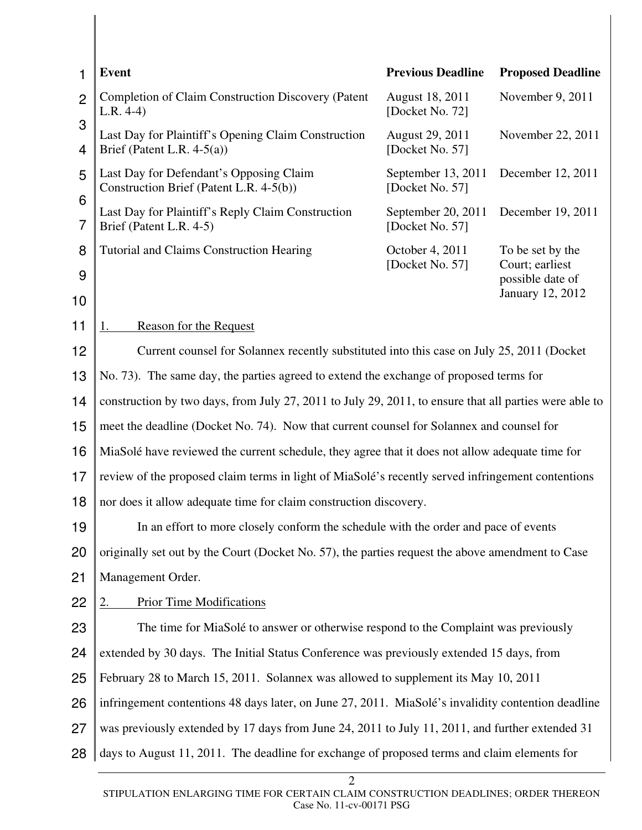| <b>Event</b>                                                                                           | <b>Previous Deadline</b>              | <b>Proposed Deadline</b>                                                                               |  |
|--------------------------------------------------------------------------------------------------------|---------------------------------------|--------------------------------------------------------------------------------------------------------|--|
| <b>Completion of Claim Construction Discovery (Patent</b><br>$L.R. 4-4)$                               | August 18, 2011<br>[Docket No. 72]    | November 9, 2011                                                                                       |  |
| Last Day for Plaintiff's Opening Claim Construction<br>Brief (Patent L.R. $4-5(a)$ )                   | August 29, 2011<br>[Docket No. 57]    | November 22, 2011                                                                                      |  |
| Last Day for Defendant's Opposing Claim<br>Construction Brief (Patent L.R. 4-5(b))                     | September 13, 2011<br>[Docket No. 57] | December 12, 2011                                                                                      |  |
| Last Day for Plaintiff's Reply Claim Construction<br>Brief (Patent L.R. 4-5)                           | September 20, 2011<br>[Docket No. 57] | December 19, 2011                                                                                      |  |
| <b>Tutorial and Claims Construction Hearing</b>                                                        | October 4, 2011                       | To be set by the                                                                                       |  |
|                                                                                                        |                                       | Court; earliest<br>possible date of<br>January 12, 2012                                                |  |
|                                                                                                        |                                       |                                                                                                        |  |
| <b>Reason for the Request</b><br>1.                                                                    |                                       |                                                                                                        |  |
| Current counsel for Solannex recently substituted into this case on July 25, 2011 (Docket              |                                       |                                                                                                        |  |
| No. 73). The same day, the parties agreed to extend the exchange of proposed terms for                 |                                       |                                                                                                        |  |
| construction by two days, from July 27, 2011 to July 29, 2011, to ensure that all parties were able to |                                       |                                                                                                        |  |
| meet the deadline (Docket No. 74). Now that current counsel for Solannex and counsel for               |                                       |                                                                                                        |  |
| MiaSolé have reviewed the current schedule, they agree that it does not allow adequate time for        |                                       |                                                                                                        |  |
| review of the proposed claim terms in light of MiaSolé's recently served infringement contentions      |                                       |                                                                                                        |  |
| nor does it allow adequate time for claim construction discovery.                                      |                                       |                                                                                                        |  |
| In an effort to more closely conform the schedule with the order and pace of events                    |                                       |                                                                                                        |  |
| originally set out by the Court (Docket No. 57), the parties request the above amendment to Case       |                                       |                                                                                                        |  |
| Management Order.                                                                                      |                                       |                                                                                                        |  |
| <b>Prior Time Modifications</b><br>2.                                                                  |                                       |                                                                                                        |  |
|                                                                                                        |                                       |                                                                                                        |  |
| extended by 30 days. The Initial Status Conference was previously extended 15 days, from               |                                       |                                                                                                        |  |
| February 28 to March 15, 2011. Solannex was allowed to supplement its May 10, 2011                     |                                       |                                                                                                        |  |
| infringement contentions 48 days later, on June 27, 2011. MiaSolé's invalidity contention deadline     |                                       |                                                                                                        |  |
| was previously extended by 17 days from June 24, 2011 to July 11, 2011, and further extended 31        |                                       |                                                                                                        |  |
| days to August 11, 2011. The deadline for exchange of proposed terms and claim elements for            |                                       |                                                                                                        |  |
|                                                                                                        |                                       | [Docket No. 57]<br>The time for MiaSolé to answer or otherwise respond to the Complaint was previously |  |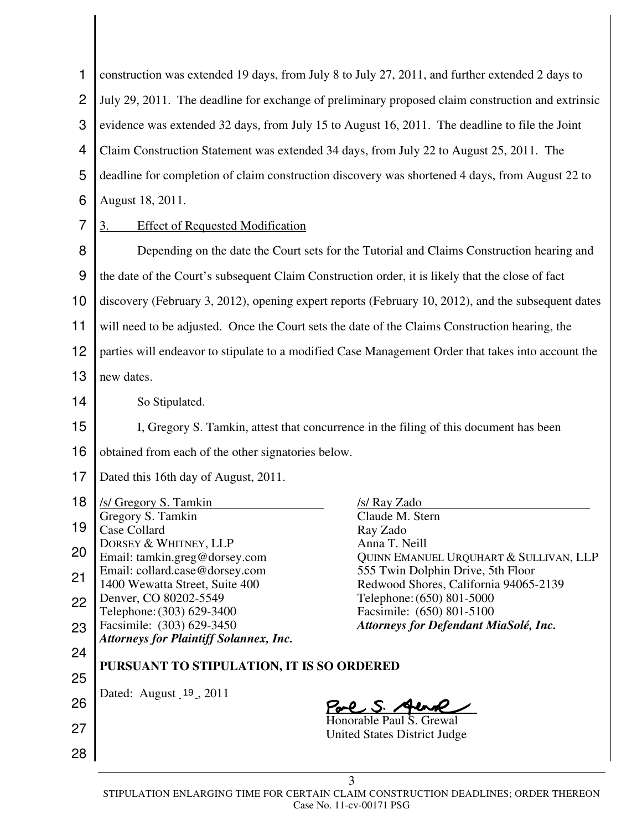| 1              | construction was extended 19 days, from July 8 to July 27, 2011, and further extended 2 days to                                                |  |  |
|----------------|------------------------------------------------------------------------------------------------------------------------------------------------|--|--|
| $\overline{2}$ | July 29, 2011. The deadline for exchange of preliminary proposed claim construction and extrinsic                                              |  |  |
| 3              | evidence was extended 32 days, from July 15 to August 16, 2011. The deadline to file the Joint                                                 |  |  |
| 4              | Claim Construction Statement was extended 34 days, from July 22 to August 25, 2011. The                                                        |  |  |
| 5              | deadline for completion of claim construction discovery was shortened 4 days, from August 22 to                                                |  |  |
| 6              | August 18, 2011.                                                                                                                               |  |  |
| 7              | <b>Effect of Requested Modification</b><br><u>3.</u>                                                                                           |  |  |
| 8              | Depending on the date the Court sets for the Tutorial and Claims Construction hearing and                                                      |  |  |
| 9              | the date of the Court's subsequent Claim Construction order, it is likely that the close of fact                                               |  |  |
| 10             | discovery (February 3, 2012), opening expert reports (February 10, 2012), and the subsequent dates                                             |  |  |
| 11             | will need to be adjusted. Once the Court sets the date of the Claims Construction hearing, the                                                 |  |  |
| 12             | parties will endeavor to stipulate to a modified Case Management Order that takes into account the                                             |  |  |
| 13             | new dates.                                                                                                                                     |  |  |
| 14             | So Stipulated.                                                                                                                                 |  |  |
| 15             | I, Gregory S. Tamkin, attest that concurrence in the filing of this document has been                                                          |  |  |
| 16             | obtained from each of the other signatories below.                                                                                             |  |  |
| 17             | Dated this 16th day of August, 2011.                                                                                                           |  |  |
| 18             | /s/ Gregory S. Tamkin<br>/s/ Ray Zado                                                                                                          |  |  |
| 19             | Gregory S. Tamkin<br>Claude M. Stern<br>Ray Zado<br>Case Collard                                                                               |  |  |
| 20             | DORSEY & WHITNEY, LLP<br>Anna T. Neill<br>Email: tamkin.greg@dorsey.com<br>QUINN EMANUEL URQUHART & SULLIVAN, LLP                              |  |  |
| 21             | Email: collard.case@dorsey.com<br>555 Twin Dolphin Drive, 5th Floor<br>1400 Wewatta Street, Suite 400<br>Redwood Shores, California 94065-2139 |  |  |
| 22             | Telephone: (650) 801-5000<br>Denver, CO 80202-5549<br>Telephone: (303) 629-3400<br>Facsimile: (650) 801-5100                                   |  |  |
| 23             | Facsimile: (303) 629-3450<br>Attorneys for Defendant MiaSolé, Inc.                                                                             |  |  |
| 24             | <b>Attorneys for Plaintiff Solannex, Inc.</b>                                                                                                  |  |  |
| 25             | PURSUANT TO STIPULATION, IT IS SO ORDERED                                                                                                      |  |  |
| 26             | Dated: August 19, 2011<br>PoreS.                                                                                                               |  |  |
|                | Honorable Paul S. Grewal                                                                                                                       |  |  |
| 27             | <b>United States District Judge</b>                                                                                                            |  |  |